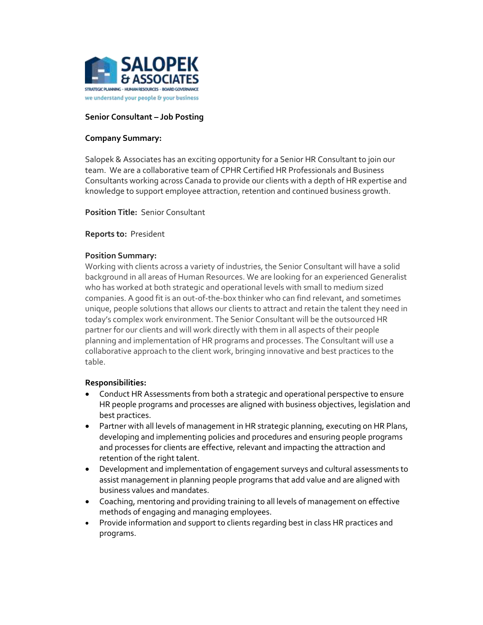

### **Senior Consultant – Job Posting**

### **Company Summary:**

Salopek & Associates has an exciting opportunity for a Senior HR Consultant to join our team. We are a collaborative team of CPHR Certified HR Professionals and Business Consultants working across Canada to provide our clients with a depth of HR expertise and knowledge to support employee attraction, retention and continued business growth.

**Position Title:** Senior Consultant

#### **Reports to:** President

### **Position Summary:**

Working with clients across a variety of industries, the Senior Consultant will have a solid background in all areas of Human Resources. We are looking for an experienced Generalist who has worked at both strategic and operational levels with small to medium sized companies. A good fit is an out-of-the-box thinker who can find relevant, and sometimes unique, people solutions that allows our clients to attract and retain the talent they need in today's complex work environment. The Senior Consultant will be the outsourced HR partner for our clients and will work directly with them in all aspects of their people planning and implementation of HR programs and processes. The Consultant will use a collaborative approach to the client work, bringing innovative and best practices to the table.

#### **Responsibilities:**

- Conduct HR Assessments from both a strategic and operational perspective to ensure HR people programs and processes are aligned with business objectives, legislation and best practices.
- Partner with all levels of management in HR strategic planning, executing on HR Plans, developing and implementing policies and procedures and ensuring people programs and processes for clients are effective, relevant and impacting the attraction and retention of the right talent.
- Development and implementation of engagement surveys and cultural assessments to assist management in planning people programs that add value and are aligned with business values and mandates.
- Coaching, mentoring and providing training to all levels of management on effective methods of engaging and managing employees.
- Provide information and support to clients regarding best in class HR practices and programs.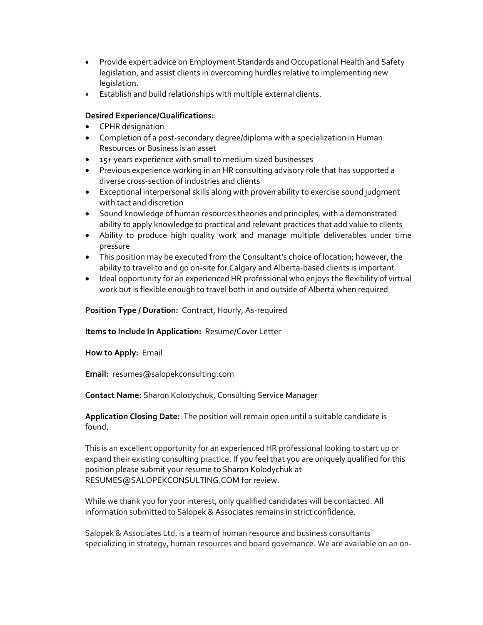- Provide expert advice on Employment Standards and Occupational Health and Safety legislation, and assist clients in overcoming hurdles relative to implementing new legislation.
- Establish and build relationships with multiple external clients.

# **Desired Experience/Qualifications:**

- CPHR designation
- Completion of a post-secondary degree/diploma with a specialization in Human Resources or Business is an asset
- 15+ years experience with small to medium sized businesses
- Previous experience working in an HR consulting advisory role that has supported a diverse cross-section of industries and clients
- Exceptional interpersonal skills along with proven ability to exercise sound judgment with tact and discretion
- Sound knowledge of human resources theories and principles, with a demonstrated ability to apply knowledge to practical and relevant practices that add value to clients
- Ability to produce high quality work and manage multiple deliverables under time pressure
- This position may be executed from the Consultant's choice of location; however, the ability to travel to and go on-site for Calgary and Alberta-based clients is important
- Ideal opportunity for an experienced HR professional who enjoys the flexibility of virtual work but is flexible enough to travel both in and outside of Alberta when required

# **Position Type / Duration:** Contract, Hourly, As-required

## **Items to Include In Application:** Resume/Cover Letter

**How to Apply:** Email

**Email:** resumes@salopekconsulting.com

**Contact Name:** Sharon Kolodychuk, Consulting Service Manager

**Application Closing Date:** The position will remain open until a suitable candidate is found.

This is an excellent opportunity for an experienced HR professional looking to start up or expand their existing consulting practice. If you feel that you are uniquely qualified for this position please submit your resume to Sharon Kolodychuk at [RESUMES@SALOPEKCONSULTING.COM](mailto:RESUMES@SALOPEKCONSULTING.COM) for review.

While we thank you for your interest, only qualified candidates will be contacted. All information submitted to Salopek & Associates remains in strict confidence.

Salopek & Associates Ltd. is a team of human resource and business consultants specializing in strategy, human resources and board governance. We are available on an on